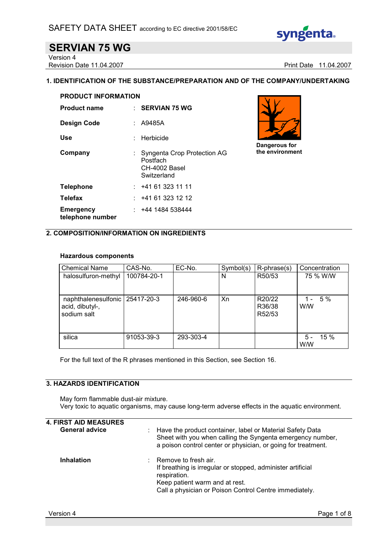

SERVIAN 75 WG Version 4

Revision Date 11.04.2007 **Print Date 11.04.2007** 

## 1. IDENTIFICATION OF THE SUBSTANCE/PREPARATION AND OF THE COMPANY/UNDERTAKING

| <b>PRODUCT INFORMATION</b>           |    |                                                                         |  |  |
|--------------------------------------|----|-------------------------------------------------------------------------|--|--|
| <b>Product name</b>                  |    | $\therefore$ SERVIAN 75 WG                                              |  |  |
| Design Code                          |    | : A9485A                                                                |  |  |
| Use                                  |    | Herbicide                                                               |  |  |
| Company                              |    | Syngenta Crop Protection AG<br>Postfach<br>CH-4002 Basel<br>Switzerland |  |  |
| <b>Telephone</b>                     |    | : 441613231111                                                          |  |  |
| Telefax                              |    | : 441613231212                                                          |  |  |
| <b>Emergency</b><br>telephone number | ٠. | +44 1484 538444                                                         |  |  |



Dangerous for the environment

# 2. COMPOSITION/INFORMATION ON INGREDIENTS

## Hazardous components

| <b>Chemical Name</b>                                               | CAS-No.     | EC-No.    | Symbol(s) | $R$ -phrase $(s)$                                    | Concentration              |
|--------------------------------------------------------------------|-------------|-----------|-----------|------------------------------------------------------|----------------------------|
| halosulfuron-methyl                                                | 100784-20-1 |           | N         | R <sub>50</sub> /53                                  | 75 % W/W                   |
| naphthalenesulfonic   25417-20-3<br>acid, dibutyl-,<br>sodium salt |             | 246-960-6 | Xn        | R <sub>20</sub> /22<br>R36/38<br>R <sub>52</sub> /53 | $5\%$<br>1 –<br><b>W/W</b> |
| silica                                                             | 91053-39-3  | 293-303-4 |           |                                                      | 15%<br>$5 -$<br><b>WW</b>  |

For the full text of the R phrases mentioned in this Section, see Section 16.

# 3. HAZARDS IDENTIFICATION

May form flammable dust-air mixture. Very toxic to aquatic organisms, may cause long-term adverse effects in the aquatic environment.

| <b>4. FIRST AID MEASURES</b><br><b>General advice</b> | : Have the product container, label or Material Safety Data<br>Sheet with you when calling the Syngenta emergency number,<br>a poison control center or physician, or going for treatment.      |
|-------------------------------------------------------|-------------------------------------------------------------------------------------------------------------------------------------------------------------------------------------------------|
| <b>Inhalation</b>                                     | Remove to fresh air.<br>If breathing is irregular or stopped, administer artificial<br>respiration.<br>Keep patient warm and at rest.<br>Call a physician or Poison Control Centre immediately. |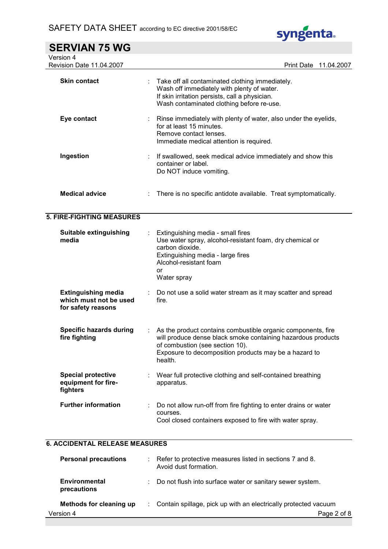

| <b>SERVIAN 75 WG</b>                                                       |   |                                                                                                                                                                                                                                     |
|----------------------------------------------------------------------------|---|-------------------------------------------------------------------------------------------------------------------------------------------------------------------------------------------------------------------------------------|
| Version 4<br>Revision Date 11.04.2007                                      |   | Print Date 11.04.2007                                                                                                                                                                                                               |
| <b>Skin contact</b>                                                        |   | Take off all contaminated clothing immediately.<br>Wash off immediately with plenty of water.<br>If skin irritation persists, call a physician.<br>Wash contaminated clothing before re-use.                                        |
| Eye contact                                                                |   | Rinse immediately with plenty of water, also under the eyelids,<br>for at least 15 minutes.<br>Remove contact lenses.<br>Immediate medical attention is required.                                                                   |
| Ingestion                                                                  |   | If swallowed, seek medical advice immediately and show this<br>container or label.<br>Do NOT induce vomiting.                                                                                                                       |
| <b>Medical advice</b>                                                      | ÷ | There is no specific antidote available. Treat symptomatically.                                                                                                                                                                     |
| <b>5. FIRE-FIGHTING MEASURES</b>                                           |   |                                                                                                                                                                                                                                     |
| Suitable extinguishing<br>media                                            |   | Extinguishing media - small fires<br>Use water spray, alcohol-resistant foam, dry chemical or<br>carbon dioxide.<br>Extinguishing media - large fires<br>Alcohol-resistant foam<br>or<br>Water spray                                |
| <b>Extinguishing media</b><br>which must not be used<br>for safety reasons |   | Do not use a solid water stream as it may scatter and spread<br>fire.                                                                                                                                                               |
| <b>Specific hazards during</b><br>fire fighting                            |   | As the product contains combustible organic components, fire<br>will produce dense black smoke containing hazardous products<br>of combustion (see section 10).<br>Exposure to decomposition products may be a hazard to<br>health. |
| <b>Special protective</b><br>equipment for fire-<br>fighters               |   | Wear full protective clothing and self-contained breathing<br>apparatus.                                                                                                                                                            |
| <b>Further information</b>                                                 |   | Do not allow run-off from fire fighting to enter drains or water<br>courses.<br>Cool closed containers exposed to fire with water spray.                                                                                            |

# 6. ACCIDENTAL RELEASE MEASURES

| <b>Personal precautions</b>         | Refer to protective measures listed in sections 7 and 8.<br>Avoid dust formation. |
|-------------------------------------|-----------------------------------------------------------------------------------|
| <b>Environmental</b><br>precautions | Do not flush into surface water or sanitary sewer system.                         |
| Methods for cleaning up             | : Contain spillage, pick up with an electrically protected vacuum                 |
| Version 4                           | Page 2 of 8                                                                       |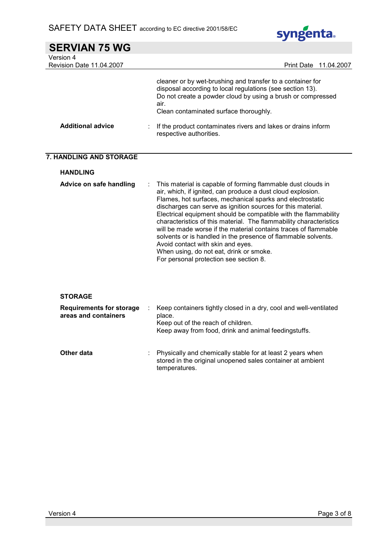

| <b>SERVIAN 75 WG</b>                                    |                                                                                                                                                                                                                                                                                                                                                                                                                                                                                                                                                                                                                                                                |
|---------------------------------------------------------|----------------------------------------------------------------------------------------------------------------------------------------------------------------------------------------------------------------------------------------------------------------------------------------------------------------------------------------------------------------------------------------------------------------------------------------------------------------------------------------------------------------------------------------------------------------------------------------------------------------------------------------------------------------|
| Version 4<br>Revision Date 11.04.2007                   | Print Date 11.04.2007                                                                                                                                                                                                                                                                                                                                                                                                                                                                                                                                                                                                                                          |
|                                                         | cleaner or by wet-brushing and transfer to a container for<br>disposal according to local regulations (see section 13).<br>Do not create a powder cloud by using a brush or compressed<br>air.<br>Clean contaminated surface thoroughly.                                                                                                                                                                                                                                                                                                                                                                                                                       |
| <b>Additional advice</b>                                | If the product contaminates rivers and lakes or drains inform<br>respective authorities.                                                                                                                                                                                                                                                                                                                                                                                                                                                                                                                                                                       |
| 7. HANDLING AND STORAGE                                 |                                                                                                                                                                                                                                                                                                                                                                                                                                                                                                                                                                                                                                                                |
| <b>HANDLING</b>                                         |                                                                                                                                                                                                                                                                                                                                                                                                                                                                                                                                                                                                                                                                |
| Advice on safe handling                                 | This material is capable of forming flammable dust clouds in<br>air, which, if ignited, can produce a dust cloud explosion.<br>Flames, hot surfaces, mechanical sparks and electrostatic<br>discharges can serve as ignition sources for this material.<br>Electrical equipment should be compatible with the flammability<br>characteristics of this material. The flammability characteristics<br>will be made worse if the material contains traces of flammable<br>solvents or is handled in the presence of flammable solvents.<br>Avoid contact with skin and eyes.<br>When using, do not eat, drink or smoke.<br>For personal protection see section 8. |
| <b>STORAGE</b>                                          |                                                                                                                                                                                                                                                                                                                                                                                                                                                                                                                                                                                                                                                                |
| <b>Requirements for storage</b><br>areas and containers | Keep containers tightly closed in a dry, cool and well-ventilated<br>place.<br>Keep out of the reach of children.<br>Keep away from food, drink and animal feedingstuffs.                                                                                                                                                                                                                                                                                                                                                                                                                                                                                      |
| <b>Other data</b>                                       | Physically and chemically stable for at least 2 years when<br>stored in the original unopened sales container at ambient<br>temperatures.                                                                                                                                                                                                                                                                                                                                                                                                                                                                                                                      |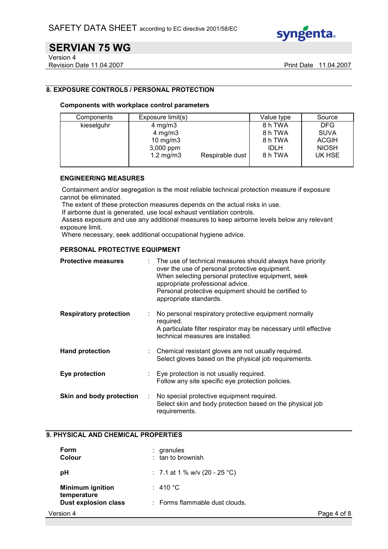

# SERVIAN 75 WG

Version 4

Revision Date 11.04.2007 **Print Date 11.04.2007** 

# 8. EXPOSURE CONTROLS / PERSONAL PROTECTION

## Components with workplace control parameters

| Components | Exposure limit(s)    |                 | Value type  | Source       |
|------------|----------------------|-----------------|-------------|--------------|
| kieselguhr | $4$ mg/m $3$         |                 | 8 h TWA     | <b>DFG</b>   |
|            | $4$ mg/m $3$         |                 | 8 h TWA     | <b>SUVA</b>  |
|            | $10$ mg/m $3$        |                 | 8 h TWA     | <b>ACGIH</b> |
|            | 3,000 ppm            |                 | <b>IDLH</b> | <b>NIOSH</b> |
|            | $1.2 \text{ mg/m}$ 3 | Respirable dust | 8 h TWA     | UK HSE       |
|            |                      |                 |             |              |

## ENGINEERING MEASURES

 Containment and/or segregation is the most reliable technical protection measure if exposure cannot be eliminated.

The extent of these protection measures depends on the actual risks in use.

If airborne dust is generated, use local exhaust ventilation controls.

 Assess exposure and use any additional measures to keep airborne levels below any relevant exposure limit.

Where necessary, seek additional occupational hygiene advice.

## PERSONAL PROTECTIVE EQUIPMENT

| <b>Protective measures</b>    |   | The use of technical measures should always have priority<br>over the use of personal protective equipment.<br>When selecting personal protective equipment, seek<br>appropriate professional advice.<br>Personal protective equipment should be certified to<br>appropriate standards. |
|-------------------------------|---|-----------------------------------------------------------------------------------------------------------------------------------------------------------------------------------------------------------------------------------------------------------------------------------------|
| <b>Respiratory protection</b> | ÷ | No personal respiratory protective equipment normally<br>required.<br>A particulate filter respirator may be necessary until effective<br>technical measures are installed.                                                                                                             |
| <b>Hand protection</b>        |   | Chemical resistant gloves are not usually required.<br>Select gloves based on the physical job requirements.                                                                                                                                                                            |
| Eye protection                |   | Eye protection is not usually required.<br>Follow any site specific eye protection policies.                                                                                                                                                                                            |
| Skin and body protection      | ÷ | No special protective equipment required.<br>Select skin and body protection based on the physical job<br>requirements.                                                                                                                                                                 |

## 9. PHYSICAL AND CHEMICAL PROPERTIES

| <b>Form</b><br>Colour                      | $:$ granules<br>: tan to brownish |             |
|--------------------------------------------|-----------------------------------|-------------|
| рH                                         | : 7.1 at 1 % w/v (20 - 25 °C)     |             |
| <b>Minimum ignition</b>                    | : 410 °C                          |             |
| temperature<br><b>Dust explosion class</b> | : Forms flammable dust clouds.    |             |
| Version 4                                  |                                   | Page 4 of 8 |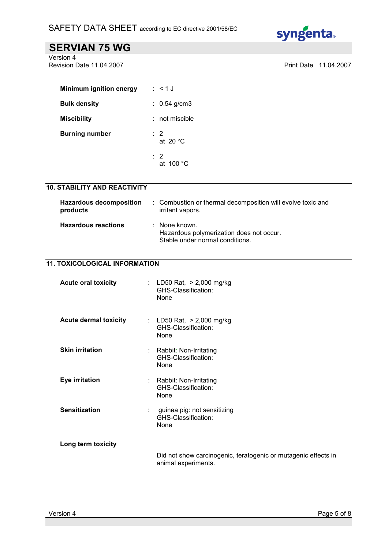

# SERVIAN 75 WG

Version 4 Revision Date 11.04.2007 **Print Date 11.04.2007** 

| Minimum ignition energy | $:$ < 1 J                            |
|-------------------------|--------------------------------------|
| <b>Bulk density</b>     | : $0.54$ g/cm3                       |
| <b>Miscibility</b>      | $:$ not miscible                     |
| <b>Burning number</b>   | $\therefore$ 2<br>at 20 $^{\circ}$ C |
|                         | $\cdot$ 2<br>at $100 °C$             |

# 10. STABILITY AND REACTIVITY

| <b>Hazardous decomposition</b><br>products | : Combustion or thermal decomposition will evolve toxic and<br>irritant vapors.              |
|--------------------------------------------|----------------------------------------------------------------------------------------------|
| <b>Hazardous reactions</b>                 | : None known.<br>Hazardous polymerization does not occur.<br>Stable under normal conditions. |

# 11. TOXICOLOGICAL INFORMATION

| <b>Acute oral toxicity</b>   | : LD50 Rat, $> 2,000$ mg/kg<br>GHS-Classification:<br>None                            |
|------------------------------|---------------------------------------------------------------------------------------|
| <b>Acute dermal toxicity</b> | : LD50 Rat, $> 2,000$ mg/kg<br>GHS-Classification:<br>None                            |
| <b>Skin irritation</b>       | : Rabbit: Non-Irritating<br>GHS-Classification:<br>None                               |
| <b>Eye irritation</b>        | : Rabbit: Non-Irritating<br>GHS-Classification:<br>None                               |
| <b>Sensitization</b>         | guinea pig: not sensitizing<br>GHS-Classification:<br>None                            |
| Long term toxicity           |                                                                                       |
|                              | Did not show carcinogenic, teratogenic or mutagenic effects in<br>animal experiments. |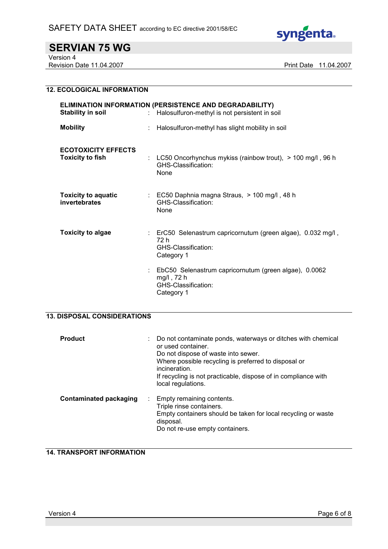

# SERVIAN 75 WG Version 4

Revision Date 11.04.2007 **Print Date 11.04.2007** 

# 12. ECOLOGICAL INFORMATION

| ELIMINATION INFORMATION (PERSISTENCE AND DEGRADABILITY)<br>Halosulfuron-methyl is not persistent in soil<br><b>Stability in soil</b><br>÷. |  |                                                                                                          |
|--------------------------------------------------------------------------------------------------------------------------------------------|--|----------------------------------------------------------------------------------------------------------|
| <b>Mobility</b>                                                                                                                            |  | Halosulfuron-methyl has slight mobility in soil                                                          |
| <b>ECOTOXICITY EFFECTS</b><br><b>Toxicity to fish</b>                                                                                      |  | LC50 Oncorhynchus mykiss (rainbow trout), $> 100$ mg/l, 96 h<br>GHS-Classification:<br>None              |
| <b>Toxicity to aquatic</b><br>invertebrates                                                                                                |  | $\therefore$ EC50 Daphnia magna Straus, $>$ 100 mg/l, 48 h<br>GHS-Classification:<br>None                |
| <b>Toxicity to algae</b>                                                                                                                   |  | ErC50 Selenastrum capricornutum (green algae), 0.032 mg/l,<br>72 h<br>GHS-Classification:<br>Category 1  |
|                                                                                                                                            |  | EbC50 Selenastrum capricornutum (green algae), 0.0062<br>mg/l, 72 h<br>GHS-Classification:<br>Category 1 |

## 13. DISPOSAL CONSIDERATIONS

| <b>Product</b>                | Do not contaminate ponds, waterways or ditches with chemical<br>or used container.<br>Do not dispose of waste into sewer.<br>Where possible recycling is preferred to disposal or<br>incineration.<br>If recycling is not practicable, dispose of in compliance with<br>local regulations. |
|-------------------------------|--------------------------------------------------------------------------------------------------------------------------------------------------------------------------------------------------------------------------------------------------------------------------------------------|
| <b>Contaminated packaging</b> | : Empty remaining contents.<br>Triple rinse containers.<br>Empty containers should be taken for local recycling or waste<br>disposal.<br>Do not re-use empty containers.                                                                                                                   |

## 14. TRANSPORT INFORMATION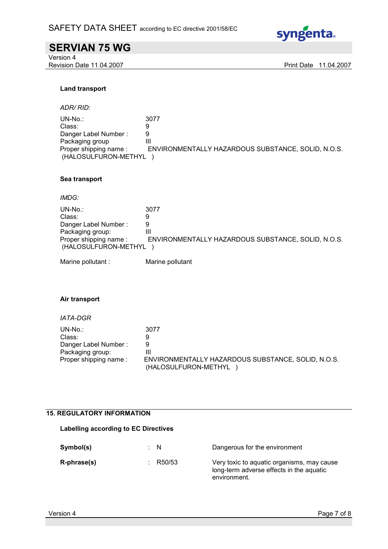

# SERVIAN 75 WG

Version 4 Revision Date 11.04.2007 **Print Date 11.04.2007** 

#### Land transport

ADR/ RID:

UN-No.: 3077 Class: 9<br>Danger Label Number : 9 Danger Label Number : 9<br>Packaging group [11] Packaging group<br>Proper shipping name: ENVIRONMENTALLY HAZARDOUS SUBSTANCE, SOLID, N.O.S. (HALOSULFURON-METHYL )

#### Sea transport

IMDG:

| $UN-No$ .:                                    | 3077                                               |
|-----------------------------------------------|----------------------------------------------------|
| Class:                                        | 9                                                  |
| Danger Label Number:                          |                                                    |
| Packaging group:                              |                                                    |
| Proper shipping name:<br>(HALOSULFURON-METHYL | ENVIRONMENTALLY HAZARDOUS SUBSTANCE, SOLID, N.O.S. |

Marine pollutant : Marine pollutant

## Air transport

## IATA-DGR

| $UN-No$ .:            | 3077                                                                       |
|-----------------------|----------------------------------------------------------------------------|
| Class:                |                                                                            |
| Danger Label Number:  |                                                                            |
| Packaging group:      | Ш                                                                          |
| Proper shipping name: | ENVIRONMENTALLY HAZARDOUS SUBSTANCE, SOLID, N.O.S.<br>(HALOSULFURON-METHYL |

# 15. REGULATORY INFORMATION

## Labelling according to EC Directives

| Symbol(s)   | : N    | Dangerous for the environment                                                                          |
|-------------|--------|--------------------------------------------------------------------------------------------------------|
| R-phrase(s) | R50/53 | Very toxic to aquatic organisms, may cause<br>long-term adverse effects in the aquatic<br>environment. |